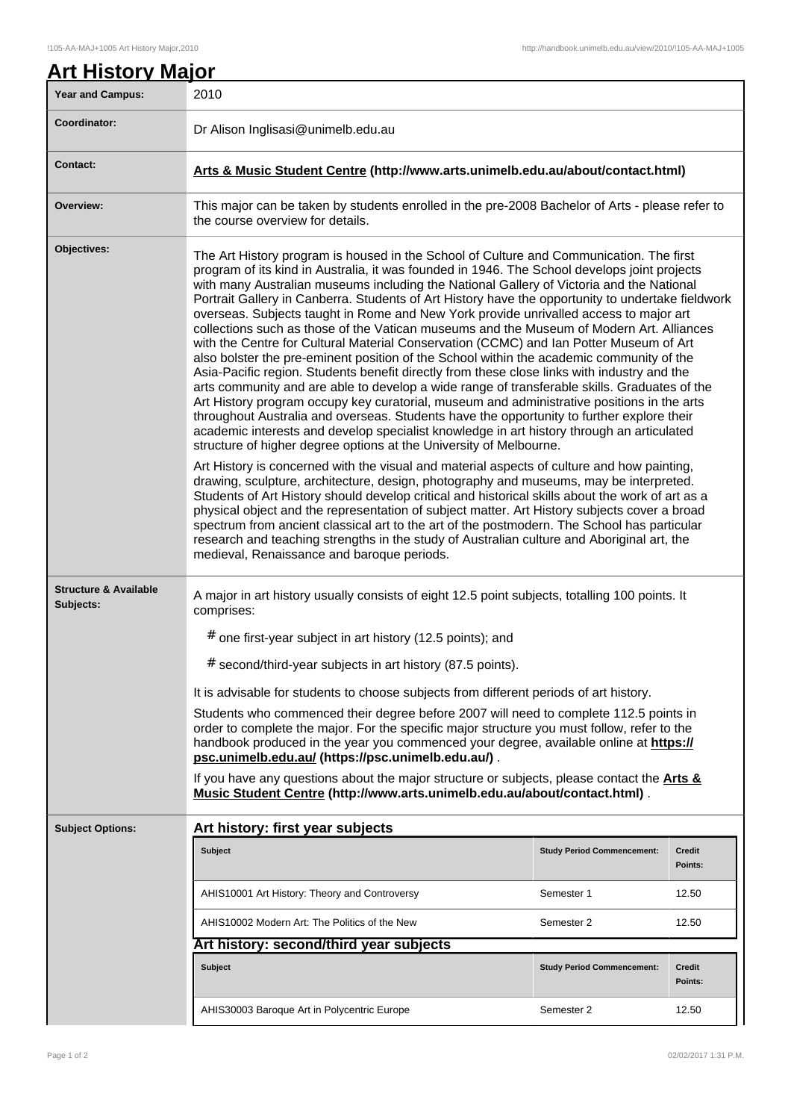| Year and Campus:                              | 2010                                                                                                                                                                                                                                                                                                                                                                                                                                                                                                                                                                                                                                                                                                                                                                                                                                                                                                                                                                                                                                                                                                                                                                                                                                                                                                                             |                                   |                          |  |
|-----------------------------------------------|----------------------------------------------------------------------------------------------------------------------------------------------------------------------------------------------------------------------------------------------------------------------------------------------------------------------------------------------------------------------------------------------------------------------------------------------------------------------------------------------------------------------------------------------------------------------------------------------------------------------------------------------------------------------------------------------------------------------------------------------------------------------------------------------------------------------------------------------------------------------------------------------------------------------------------------------------------------------------------------------------------------------------------------------------------------------------------------------------------------------------------------------------------------------------------------------------------------------------------------------------------------------------------------------------------------------------------|-----------------------------------|--------------------------|--|
| Coordinator:                                  | Dr Alison Inglisasi@unimelb.edu.au                                                                                                                                                                                                                                                                                                                                                                                                                                                                                                                                                                                                                                                                                                                                                                                                                                                                                                                                                                                                                                                                                                                                                                                                                                                                                               |                                   |                          |  |
| Contact:                                      | Arts & Music Student Centre (http://www.arts.unimelb.edu.au/about/contact.html)                                                                                                                                                                                                                                                                                                                                                                                                                                                                                                                                                                                                                                                                                                                                                                                                                                                                                                                                                                                                                                                                                                                                                                                                                                                  |                                   |                          |  |
| Overview:                                     | This major can be taken by students enrolled in the pre-2008 Bachelor of Arts - please refer to<br>the course overview for details.                                                                                                                                                                                                                                                                                                                                                                                                                                                                                                                                                                                                                                                                                                                                                                                                                                                                                                                                                                                                                                                                                                                                                                                              |                                   |                          |  |
| Objectives:                                   | The Art History program is housed in the School of Culture and Communication. The first<br>program of its kind in Australia, it was founded in 1946. The School develops joint projects<br>with many Australian museums including the National Gallery of Victoria and the National<br>Portrait Gallery in Canberra. Students of Art History have the opportunity to undertake fieldwork<br>overseas. Subjects taught in Rome and New York provide unrivalled access to major art<br>collections such as those of the Vatican museums and the Museum of Modern Art. Alliances<br>with the Centre for Cultural Material Conservation (CCMC) and Ian Potter Museum of Art<br>also bolster the pre-eminent position of the School within the academic community of the<br>Asia-Pacific region. Students benefit directly from these close links with industry and the<br>arts community and are able to develop a wide range of transferable skills. Graduates of the<br>Art History program occupy key curatorial, museum and administrative positions in the arts<br>throughout Australia and overseas. Students have the opportunity to further explore their<br>academic interests and develop specialist knowledge in art history through an articulated<br>structure of higher degree options at the University of Melbourne. |                                   |                          |  |
|                                               | Art History is concerned with the visual and material aspects of culture and how painting,<br>drawing, sculpture, architecture, design, photography and museums, may be interpreted.<br>Students of Art History should develop critical and historical skills about the work of art as a<br>physical object and the representation of subject matter. Art History subjects cover a broad<br>spectrum from ancient classical art to the art of the postmodern. The School has particular<br>research and teaching strengths in the study of Australian culture and Aboriginal art, the<br>medieval, Renaissance and baroque periods.                                                                                                                                                                                                                                                                                                                                                                                                                                                                                                                                                                                                                                                                                              |                                   |                          |  |
| <b>Structure &amp; Available</b><br>Subjects: | A major in art history usually consists of eight 12.5 point subjects, totalling 100 points. It<br>comprises:                                                                                                                                                                                                                                                                                                                                                                                                                                                                                                                                                                                                                                                                                                                                                                                                                                                                                                                                                                                                                                                                                                                                                                                                                     |                                   |                          |  |
|                                               | # one first-year subject in art history (12.5 points); and                                                                                                                                                                                                                                                                                                                                                                                                                                                                                                                                                                                                                                                                                                                                                                                                                                                                                                                                                                                                                                                                                                                                                                                                                                                                       |                                   |                          |  |
|                                               | # second/third-year subjects in art history (87.5 points).                                                                                                                                                                                                                                                                                                                                                                                                                                                                                                                                                                                                                                                                                                                                                                                                                                                                                                                                                                                                                                                                                                                                                                                                                                                                       |                                   |                          |  |
|                                               | It is advisable for students to choose subjects from different periods of art history.                                                                                                                                                                                                                                                                                                                                                                                                                                                                                                                                                                                                                                                                                                                                                                                                                                                                                                                                                                                                                                                                                                                                                                                                                                           |                                   |                          |  |
|                                               | Students who commenced their degree before 2007 will need to complete 112.5 points in<br>order to complete the major. For the specific major structure you must follow, refer to the<br>handbook produced in the year you commenced your degree, available online at https://<br>psc.unimelb.edu.au/ (https://psc.unimelb.edu.au/).                                                                                                                                                                                                                                                                                                                                                                                                                                                                                                                                                                                                                                                                                                                                                                                                                                                                                                                                                                                              |                                   |                          |  |
|                                               | If you have any questions about the major structure or subjects, please contact the Arts &<br>Music Student Centre (http://www.arts.unimelb.edu.au/about/contact.html).                                                                                                                                                                                                                                                                                                                                                                                                                                                                                                                                                                                                                                                                                                                                                                                                                                                                                                                                                                                                                                                                                                                                                          |                                   |                          |  |
| <b>Subject Options:</b>                       | Art history: first year subjects                                                                                                                                                                                                                                                                                                                                                                                                                                                                                                                                                                                                                                                                                                                                                                                                                                                                                                                                                                                                                                                                                                                                                                                                                                                                                                 |                                   |                          |  |
|                                               | Subject                                                                                                                                                                                                                                                                                                                                                                                                                                                                                                                                                                                                                                                                                                                                                                                                                                                                                                                                                                                                                                                                                                                                                                                                                                                                                                                          | <b>Study Period Commencement:</b> | <b>Credit</b><br>Points: |  |
|                                               | AHIS10001 Art History: Theory and Controversy                                                                                                                                                                                                                                                                                                                                                                                                                                                                                                                                                                                                                                                                                                                                                                                                                                                                                                                                                                                                                                                                                                                                                                                                                                                                                    | Semester 1                        | 12.50                    |  |
|                                               | AHIS10002 Modern Art: The Politics of the New                                                                                                                                                                                                                                                                                                                                                                                                                                                                                                                                                                                                                                                                                                                                                                                                                                                                                                                                                                                                                                                                                                                                                                                                                                                                                    | Semester 2                        | 12.50                    |  |
|                                               | Art history: second/third year subjects                                                                                                                                                                                                                                                                                                                                                                                                                                                                                                                                                                                                                                                                                                                                                                                                                                                                                                                                                                                                                                                                                                                                                                                                                                                                                          |                                   |                          |  |
|                                               | Subject                                                                                                                                                                                                                                                                                                                                                                                                                                                                                                                                                                                                                                                                                                                                                                                                                                                                                                                                                                                                                                                                                                                                                                                                                                                                                                                          | <b>Study Period Commencement:</b> | Credit<br>Points:        |  |
|                                               | AHIS30003 Baroque Art in Polycentric Europe                                                                                                                                                                                                                                                                                                                                                                                                                                                                                                                                                                                                                                                                                                                                                                                                                                                                                                                                                                                                                                                                                                                                                                                                                                                                                      | Semester 2                        | 12.50                    |  |